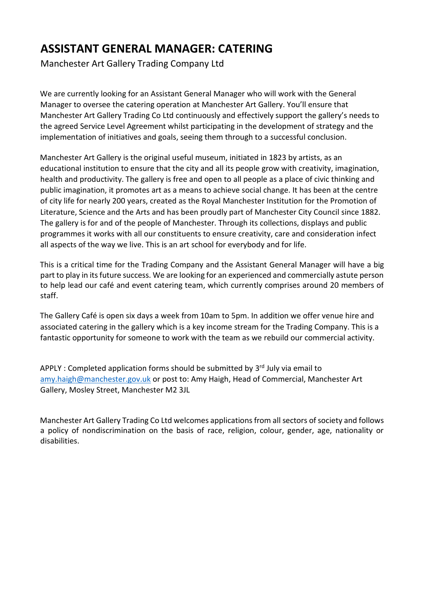## **ASSISTANT GENERAL MANAGER: CATERING**

Manchester Art Gallery Trading Company Ltd

We are currently looking for an Assistant General Manager who will work with the General Manager to oversee the catering operation at Manchester Art Gallery. You'll ensure that Manchester Art Gallery Trading Co Ltd continuously and effectively support the gallery's needs to the agreed Service Level Agreement whilst participating in the development of strategy and the implementation of initiatives and goals, seeing them through to a successful conclusion.

Manchester Art Gallery is the original useful museum, initiated in 1823 by artists, as an educational institution to ensure that the city and all its people grow with creativity, imagination, health and productivity. The gallery is free and open to all people as a place of civic thinking and public imagination, it promotes art as a means to achieve social change. It has been at the centre of city life for nearly 200 years, created as the Royal Manchester Institution for the Promotion of Literature, Science and the Arts and has been proudly part of Manchester City Council since 1882. The gallery is for and of the people of Manchester. Through its collections, displays and public programmes it works with all our constituents to ensure creativity, care and consideration infect all aspects of the way we live. This is an art school for everybody and for life.

This is a critical time for the Trading Company and the Assistant General Manager will have a big part to play in its future success. We are looking for an experienced and commercially astute person to help lead our café and event catering team, which currently comprises around 20 members of staff.

The Gallery Café is open six days a week from 10am to 5pm. In addition we offer venue hire and associated catering in the gallery which is a key income stream for the Trading Company. This is a fantastic opportunity for someone to work with the team as we rebuild our commercial activity.

APPLY : Completed application forms should be submitted by 3<sup>rd</sup> July via email to [amy.haigh@manchester.gov.uk](mailto:amy.haigh@manchester.gov.uk) or post to: Amy Haigh, Head of Commercial, Manchester Art Gallery, Mosley Street, Manchester M2 3JL

Manchester Art Gallery Trading Co Ltd welcomes applications from all sectors of society and follows a policy of nondiscrimination on the basis of race, religion, colour, gender, age, nationality or disabilities.